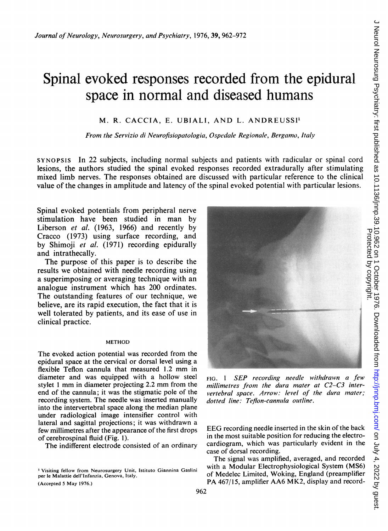# Spinal evoked responses recorded from the epidural space in normal and diseased humans

# M. R. CACCIA, E. UBIALI, AND L. ANDREUSSI'

From the Servizio di Neurofisiopatologia, Ospedale Regionale, Bergamo, Italy

lesions, the authors studied the spinal evoked responses recorded extradurally after stimulating mixed limb nerves. The responses obtained are discussed with particular reference to the clinical value of the changes in amplitude and latency of the spinal evoked potential with particular lesions.

Spinal evoked potentials from peripheral nerve stimulation have been studied in man by Liberson et al. (1963, 1966) and recently by Cracco (1973) using surface recording, and by Shimoji et al. (1971) recording epidurally and intrathecally.

The purpose of this paper is to describe the results we obtained with needle recording using a superimposing or averaging technique with an analogue instrument which has 200 ordinates. The outstanding features of our technique, we believe, are its rapid execution, the fact that it is well tolerated by patients, and its ease of use in clinical practice.

#### METHOD

The evoked action potential was recorded from the epidural space at the cervical or dorsal level using a flexible Teflon cannula that measured 1.2 mm in diameter and was equipped with a hollow steel stylet <sup>1</sup> mm in diameter projecting 2.2 mm from the end of the cannula; it was the stigmatic pole of the recording system. The needle was inserted manually into the intervertebral space along the median plane under radiological image intensifier control with lateral and sagittal projections; it was withdrawn a few millimetres after the appearance of the first drops of cerebrospinal fluid (Fig. 1).

The indifferent electrode consisted of an ordinary

<sup>&#</sup>x27;Visiting fellow from Neurosurgery Unit, Istituto Giannina Gaslini per le Malattie dell'lnfanzia, Genova, ltaly. (Accepted <sup>5</sup> May 1976.)



FIG. <sup>1</sup> SEP recording needle withdrawn a few millimetres from the dura mater at C2-C3 intervertebral space. Arrow: level of the dura mater; dotted line: Teflon-cannula outline.

EEG recording needle inserted in the skin of the back in the most suitable position for reducing the electrocardiogram, which was particularly evident in the case of dorsal recording.

The signal was amplified, averaged, and recorded with a Modular Electrophysiological System (MS6) of Medelec Limited, Woking, England (preamplifier PA 467/15, amplifier AA6 MK2, display and record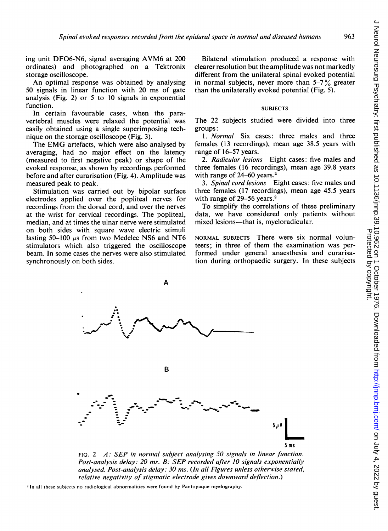ing unit DFO6-N6, signal averaging AVM6 at <sup>200</sup> ordinates) and photographed on a Tektronix storage oscilloscope.

An optimal response was obtained by analysing 50 signals in linear function with 20 ms of gate analysis (Fig. 2) or 5 to 10 signals in exponential function.

In certain favourable cases, when the paravertebral muscles were relaxed the potential was easily obtained using a single superimposing technique on the storage oscilloscope (Fig. 3).

The EMG artefacts, which were also analysed by averaging, had no major effect on the latency (measured to first negative peak) or shape of the evoked response, as shown by recordings performed before and after curarisation (Fig. 4). Amplitude was measured peak to peak.

Stimulation was carried out by bipolar surface electrodes applied over the popliteal nerves for recordings from the dorsal cord, and over the nerves at the wrist for cervical recordings. The popliteal, median, and at times the ulnar nerve were stimulated on both sides with square wave electric stimuli lasting 50-100  $\mu$ s from two Medelec NS6 and NT6 stimulators which also triggered the oscilloscope beam. In some cases the nerves were also stimulated synchronously on both sides.

Bilateral stimulation produced a response with clearer resolution but the amplitude was not markedly different from the unilateral spinal evoked potential in normal subjects, never more than  $5-7\%$  greater than the unilaterally evoked potential (Fig. 5).

### **SUBJECTS**

The 22 subjects studied were divided into three groups:

1. Normal Six cases: three males and three females (13 recordings), mean age 38.5 years with range of 16-57 years.

2. Radicular lesions Eight cases: five males and three females (16 recordings), mean age 39.8 years with range of  $24-60$  years.<sup>2</sup>

3. Spinal cord lesions Eight cases: five males and three females (17 recordings), mean age 45.5 years with range of 29–56 years.<sup>2</sup>

To simplify the correlations of these preliminary data, we have considered only patients without mixed lesions—that is, myeloradicular.

NORMAL SUBJECTS There were six normal volunteers; in three of them the examination was performed under general anaesthesia and curarisation during orthopaedic surgery. In these subjects



FIG. 2 A: SEP in normal subject analysing 50 signals in linear function. Post-analysis delay: 20 ms. B: SEP recorded after 10 signals exponentially analysed. Post-analysis delay:  $30$  ms. (In all Figures unless otherwise stated, relative negativity of stigmatic electrode gives downward deflection.)

<sup>2</sup> In all these subjects no radiological abnormalities were found by Pantopaque myelography.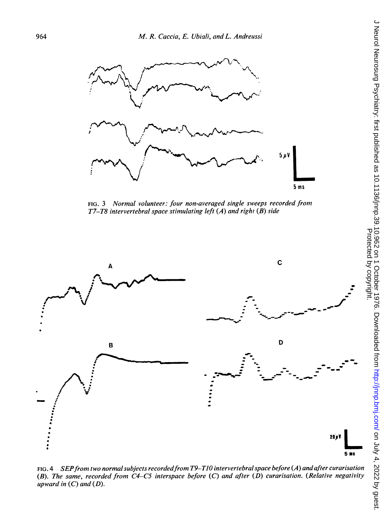

FIG. <sup>3</sup> Normal volunteer: four non-averaged single sweeps recorded from T7-T8 intervertebral space stimulating left (A) and right (B) side



(B). The same, recorded from  $C4$ -C5 interspace before  $(C)$  and after  $(D)$  curarisation. (Relative negativity upward in  $(C)$  and  $(D)$ .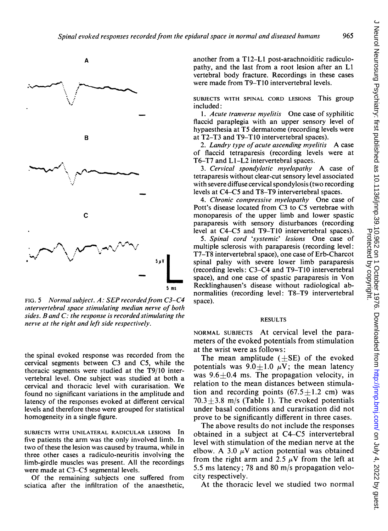965



FIG. 5 Normal subject.  $A:$  SEP recorded from C3-C4 intervertebral space stimulating median nerve of both sides. B and  $C$ : the response is recorded stimulating the nerve at the right and left side respectively.

the spinal evoked response was recorded from the cervical segments between C3 and C5, while the thoracic segments were studied at the T9/10 intervertebral level. One subject was studied at both a cervical and thoracic level with curarisation. We found no significant variations in the amplitude and latency of the responses evoked at different cervical levels and therefore these were grouped for statistical homogeneity in a single figure.

SUBJECTS WITH UNILATERAL RADICULAR LESIONS In five patients the arm was the only involved limb. In two of these the lesion was caused by trauma, while in three other cases a radiculo-neuritis involving the limb-girdle muscles was present. All the recordings were made at C3-C5 segmental levels.

Of the remaining subjects one suffered from sciatica after the infiltration of the anaesthetic, another from a T12-Ll post-arachnoiditic radiculopathy, and the last from a root lesion after an Li vertebral body fracture. Recordings in these cases were made from T9-TIO intervertebral levels.

SUBJECTS WITH SPINAL CORD LESIONS This group included:

1. Acute tranverse myelitis One case of syphilitic flaccid paraplegia with an upper sensory level of hypaesthesia at T5 dermatome (recording levels were at T2-T3 and T9-TIO intervertebral spaces).

2. Landry type of acute ascending myelitis A case of flaccid tetraparesis (recording levels were at T6-T7 and Ll-L2 intervertebral spaces.

3. Cervical spondylotic myelopathy A case of tetraparesis without clear-cut sensory level associated with severe diffuse cervical spondylosis (two recording levels at C4-C5 and T8-T9 intervertebral spaces.

4. Chronic compressive myelopathy One case of Pott's disease located from C3 to C5 vertebrae with monoparesis of the upper limb and lower spastic paraparesis with sensory disturbances (recording level at C4-C5 and T9-T1O intervertebral spaces).

5. Spinal cord 'systemic' lesions One case of multiple sclerosis with paraparesis (recording level: T7-T8 intervertebral space), one case of Erb-Charcot spinal palsy with severe lower limb paraparesis (recording levels: C3-C4 and T9-TIO intervertebral space), and one case of spastic paraparesis in Von Recklinghausen's disease without radiological abnormalities (recording level: T8-T9 intervertebral space).

#### RESULTS

NORMAL SUBJECTS At cervical level the parameters of the evoked potentials from stimulation at the wrist were as follows:

The mean amplitude  $(\pm SE)$  of the evoked potentials was  $9.0+1.0 \mu V$ ; the mean latency was  $9.6+0.4$  ms. The propagation velocity, in relation to the mean distances between stimulation and recording points  $(67.5+1.2 \text{ cm})$  was  $70.3 \pm 3.8$  m/s (Table 1). The evoked potentials under basal conditions and curarisation did not prove to be significantly different in three cases.

The above results do not include the responses obtained in a subject at C4-C5 intervertebral level with stimulation of the median nerve at the elbow. A 3.0  $\mu$ V action potential was obtained from the right arm and 2.5  $\mu$ V from the left at 5.5 ms latency; 78 and 80 m/s propagation velocity respectively.

At the thoracic level we studied two normal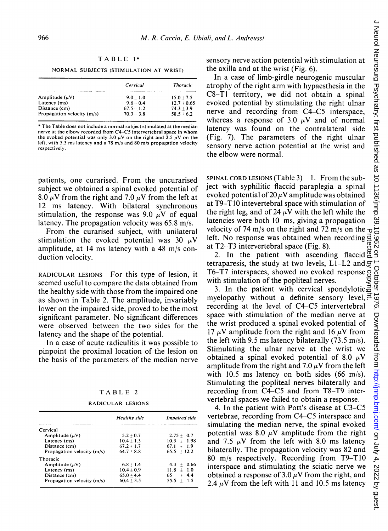|  | $\overline{\phantom{a}}$ |  | ВL. | r |  |
|--|--------------------------|--|-----|---|--|
|--|--------------------------|--|-----|---|--|

NORMAL SUBJECTS (STIMULATION AT WRIST)

|                                                                    | Cervical     | <b>Thoracic</b> |
|--------------------------------------------------------------------|--------------|-----------------|
| <b>CALL OF A CALL AND COMPANY</b><br><b><i><u>Property</u></i></b> |              |                 |
| Amplitude $(\mu V)$                                                | $9.0 + 1.0$  | $15.0 + 7.5$    |
| Latency (ms)                                                       | $9.6 + 0.4$  | $12.7 + 0.65$   |
| Distance (cm)                                                      | $67.5 + 1.2$ | $74.3 + 3.9$    |
| Propagation velocity (m/s)                                         | $70.3 + 3.8$ | $58.5 - 6.2$    |

\* The Table does not include a normal subject stimulated at the median nerve at the elbow recorded from C4-C5 intervertebral space in whom the evoked potential was only  $3.0 \mu$ V on the right and  $2.5 \mu$ V on the left, with 5.5 ms latency and a 78 m/s and 80 m/s propagation velocity respectively.

patients, one curarised. From the uncurarised subject we obtained a spinal evoked potential of 8.0  $\mu$ V from the right and 7.0  $\mu$ V from the left at 12 ms latency. With bilateral synchronous stimulation, the response was 9.0  $\mu$ V of equal latency. The propagation velocity was 65.8 m/s.

From the curarised subject, with unilateral stimulation the evoked potential was 30  $\mu$ V amplitude, at 14 ms latency with a 48 m/s conduction velocity.

RADICULAR LESIONS For this type of lesion, it seemed useful to compare the data obtained from the healthy side with those from the impaired one as shown in Table 2. The amplitude, invariably lower on the impaired side, proved to be the most significant parameter. No significant differences were observed between the two sides for the latency and the shape of the potential.

In a case of acute radiculitis it was possible to pinpoint the proximal location of the lesion on the basis of the parameters of the median nerve

## TABLE <sup>2</sup>

RADICULAR LESIONS

|                                                                                                 | Healthy side | Impaired side    |
|-------------------------------------------------------------------------------------------------|--------------|------------------|
| <b>BOTHER R. P. LEWIS CO., LANSING MICH.</b><br>A R. LEWIS CO., LANSING, MICH. 49-14039-1-120-2 |              |                  |
| Cervical                                                                                        |              |                  |
| Amplitude $(\mu V)$                                                                             | $5.2 + 0.7$  | $2.75 + 0.7$     |
| Latency (ms)                                                                                    | $10.4 + 1.3$ | $10.3 + 1.98$    |
| Distance (cm)                                                                                   | $67.2 + 1.7$ | $67.1 \div 1.9$  |
| Propagation velocity (m/s)                                                                      | $64.7 - 8.8$ | $65.5 \div 12.2$ |
| Thoracic                                                                                        |              |                  |
| Amplitude $(\mu V)$                                                                             | $6.8 + 1.4$  | $4.3 \pm 0.66$   |
| Latency (ms)                                                                                    | $10.4 + 0.9$ | $11.8 + 1.0$     |
| Distance (cm)                                                                                   | $65.0 + 4.4$ | $65 + 4.4$       |
| Propagation velocity (m/s)                                                                      | $60.4 + 3.5$ | $55.5 + 1.5$     |
|                                                                                                 |              |                  |

sensory nerve action potential with stimulation at the axilla and at the wrist (Fig. 6).

In a case of limb-girdle neurogenic muscular atrophy of the right arm with hypaesthesia in the C8-Tl territory, we did not obtain a spinal evoked potential by stimulating the right ulnar nerve and recording from C4-C5 interspace, whereas a response of 3.0  $\mu$ V and of normal latency was found on the contralateral side (Fig. 7). The parameters of the right ulnar sensory nerve action potential at the wrist and the elbow were normal.

SPINAL CORD LESIONS (Table 3) 1. From the subject with syphilitic flaccid paraplegia a spinal evoked potential of  $20 \mu$ V amplitude was obtained at T9-T1O intevertebral space with stimulation of the right leg, and of 24  $\mu$ V with the left while the latencies were both 10 ms, giving a propagation velocity of 74 m/s on the right and 72 m/s on the  $\tau$ left. No response was obtained when recording  $\vec{q}$ at T2-T3 intervertebral space (Fig. 8).

2. In the patient with ascending flaccid  $\overline{Q}$ tetraparesis, the study at two levels,  $L1-L2$  and  $\mathcal{G}$ T6-T7 interspaces, showed no evoked response g with stimulation of the popliteal nerves. Protected by copyright.

3. In the patient with cervical spondylotic. myelopathy without a definite sensory level,  $\vec{r}$ recording at the level of C4-C5 intervertebral space with stimulation of the median nerve at the wrist produced a spinal evoked potential of 17  $\mu$ V amplitude from the right and 16  $\mu$ V from the left with 9.5 ms latency bilaterally (73.5 m/s). Stimulating the ulnar nerve at the wrist we obtained a spinal evoked potential of 8.0  $\mu$ V amplitude from the right and 7.0  $\mu$ V from the left with 10.5 ms latency on both sides (66 m/s). Stimulating the popliteal nerves bilaterally and recording from C4-C5 and from T8-T9 intervertebral spaces we failed to obtain a response.

4. In the patient with Pott's disease at C3-C5 vertebrae, recording from C4-C5 interspace and simulating the median nerve, the spinal evoked potential was 8.0  $\mu$ V amplitude from the right and 7.5  $\mu$ V from the left with 8.0 ms latency bilaterally. The propagation velocity was 82 and 80 m/s respectively. Recording from T9-T1O interspace and stimulating the sciatic nerve we obtained a response of 3.0  $\mu$ V from the right, and 2.4  $\mu$ V from the left with 11 and 10.5 ms latency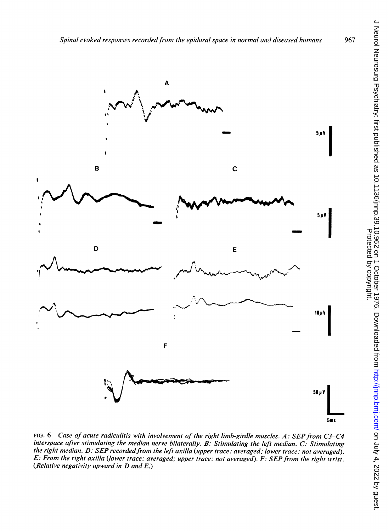

FIG. 6 Case of acute radiculitis with involvement of the right limb-girdle muscles. A: SEP from C3-C4 interspace after stimulating the median nerve bilaterally. B: Stimulating the left median. C: Stimulating the right median. D: SEP recorded from the left axilla (upper trace: averaged; lower trace: not averaged). E: From the right axilla (lower trace: averaged; upper trace: not averaged). F: SEP from the right wrist. (Relative negativity upward in  $D$  and  $E$ .)

967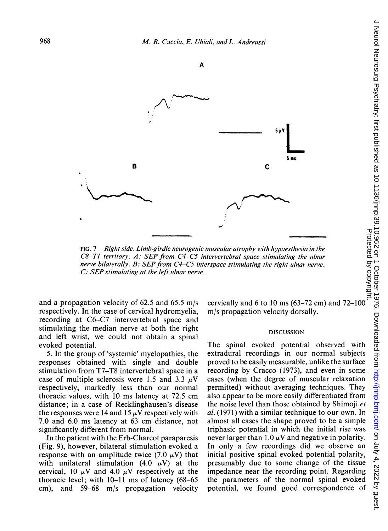

FIG. 7 Right side. Limb-girdle neurogenic muscular atrophy with hypaesthesia in the  $C8-T1$  territory. A: SEP from  $C4-C5$  intervertebral space stimulating the ulnar nerve bilaterally. B: SEP from  $C4$ -C5 interspace stimulating the right ulnar nerve.  $C:$  SEP stimulating at the left ulnar nerve.

and a propagation velocity of 62.5 and 65.5 m/s respectively. In the case of cervical hydromyelia, recording at C6-C7 intervertebral space and stimulating the median nerve at both the right and left wrist, we could not obtain a spinal evoked potential.

5. In the group of 'systemic' myelopathies, the responses obtained with single and double stimulation from T7-T8 intervertebral space in a case of multiple sclerosis were 1.5 and 3.3  $\mu$ V respectively, markedly less than our normal thoracic values, with <sup>10</sup> ms latency at 72.5 cm distance; in a case of Recklinghausen's disease the responses were 14 and 15  $\mu$ V respectively with 7.0 and 6.0 ms latency at 63 cm distance, not significantly different from normal.

In the patient with the Erb-Charcot paraparesis (Fig. 9), however, bilateral stimulation evoked a response with an amplitude twice (7.0  $\mu$ V) that with unilateral stimulation (4.0  $\mu$ V) at the cervical, 10  $\mu$ V and 4.0  $\mu$ V respectively at the thoracic level; with 10-11 ms of latency (68-65 cm), and 59-68 m/s propagation velocity m/s propagation velocity dorsally.

#### **DISCUSSION**

The spinal evoked potential observed with extradural recordings in our normal subjects proved to be easily measurable, unlike the surface recording by Cracco (1973), and even in some cases (when the degree of muscular relaxation permitted) without averaging techniques. They also appear to be more easily differentiated from the noise level than those obtained by Shimoji et  $al.$  (1971) with a similar technique to our own. In almost all cases the shape proved to be a simple triphasic potential in which the initial rise was never larger than 1.0  $\mu$ V and negative in polarity. In only a few recordings did we observe an initial positive spinal evoked potential polarity, presumably due to some change of the tissue impedance near the recording point. Regarding the parameters of the normal spinal evoked potential, we found good correspondence of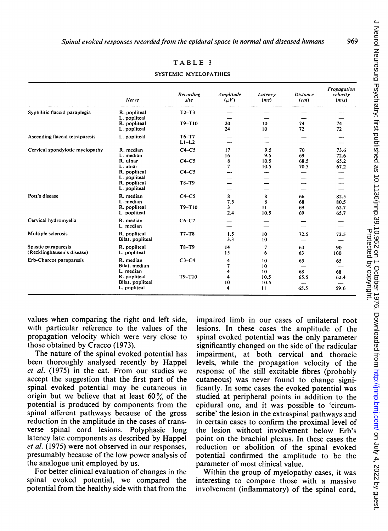|                                                   | Nerve                                                        | Recording<br>site   | Amplitude<br>$(\mu V)$   | Latency<br>(ms)             | <b>Distance</b><br>(cm)  | Fropagation<br>velocity<br>(m/s) |
|---------------------------------------------------|--------------------------------------------------------------|---------------------|--------------------------|-----------------------------|--------------------------|----------------------------------|
| Syphilitic flaccid paraplegia                     | R. popliteal<br>L. popliteal                                 | $T2-T3$             |                          |                             |                          |                                  |
|                                                   | R. popliteal<br>L. popliteal                                 | $T9-T10$            | 20<br>24                 | 10<br>10                    | 74<br>72                 | 74<br>72                         |
| Ascending flaccid tetraparesis                    | L. popliteal                                                 | $T6-T7$<br>$L1-L2$  |                          |                             |                          |                                  |
| Cervical spondylotic myelopathy                   | R. median<br>L. median<br>R. ulnar<br>L. ulnar               | $C4-C5$<br>$C4-C5$  | 17<br>16<br>8<br>7       | 9.5<br>9.5<br>10.5<br>10.5  | 70<br>69<br>68.5<br>70.5 | 73.6<br>72.6<br>65.2<br>67.2     |
|                                                   | R. popliteal<br>L. popliteal<br>R. popliteal<br>L. popliteal | $C4-C5$<br>T8-T9    |                          |                             |                          |                                  |
| Pott's disease                                    | R. median<br>L. median<br>R. popliteal<br>L. popliteal       | $C4-C5$<br>$T9-T10$ | 8<br>7.5<br>3.<br>2.4    | 8<br>8<br>11<br>10.5        | 66<br>68<br>69<br>69     | 82.5<br>80.5<br>62.7<br>65.7     |
| Cervical hydromyelia                              | R. median<br>L. median                                       | $C6-C7$             |                          |                             |                          |                                  |
| Multiple sclerosis                                | R. popliteal<br>Bilat. popliteal                             | $T7-T8$             | 1.5<br>3.3               | 10<br>10                    | 72.5                     | 72.5                             |
| Spastic paraparesis<br>(Recklinghausen's disease) | R. popliteal<br>L. popliteal                                 | $T8-T9$             | 14<br>15                 | 7<br>6                      | 63<br>63                 | 90<br>100                        |
| Erb-Charcot paraparesis                           | R. median<br>Bilat. median<br>L. median                      | $C3-C4$             | 4<br>$\overline{7}$<br>4 | 10<br>10<br>10 <sup>°</sup> | 65<br>68                 | 65<br>68                         |
|                                                   | R. popliteal<br>Bilat. popliteal<br>L. popliteal             | T9-T10              | 4<br>10<br>4             | 10.5<br>10.5<br>11          | 65.5<br>65.5             | 62.4<br>59.6                     |

TABLE <sup>3</sup>

SYSTEMIC MYELOPATHIES

values when comparing the right and left side, with particular reference to the values of the propagation velocity which were very close to those obtained by Cracco (1973).

The nature of the spinal evoked potential has been thoroughly analysed recently by Happel et al. (1975) in the cat. From our studies we accept the suggestion that the first part of the spinal evoked potential may be cutaneous in origin but we believe that at least  $60\%$  of the potential is produced by components from the spinal afferent pathways because of the gross reduction in the amplitude in the cases of transverse spinal cord lesions. Polyphasic long latency late components as described by Happel et al. (1975) were not observed in our responses. presumably because of the low power analysis of the analogue unit employed by us.

For better clinical evaluation of changes in the spinal evoked potential, we compared the potential from the healthy side with that from the

impaired limb in our cases of unilateral root lesions. In these cases the amplitude of the spinal evoked potential was the only parameter significantly changed on the side of the radicular impairment, at both cervical and thoracic levels, while the propagation velocity of the response of the still excitable fibres (probably cutaneous) was never found to change significantly. In some cases the evoked potential was studied at peripheral points in addition to the epidural one, and it was possible to 'circumscribe' the lesion in the extraspinal pathways and in certain cases to confirm the proximal level of the lesion without involvement below Erb's point on the brachial plexus. In these cases the reduction or abolition of the spinal evoked potential confirmed the amplitude to be the parameter of most clinical value.

Within the group of myelopathy cases, it was interesting to compare those with a massive involvement (inflammatory) of the spinal cord,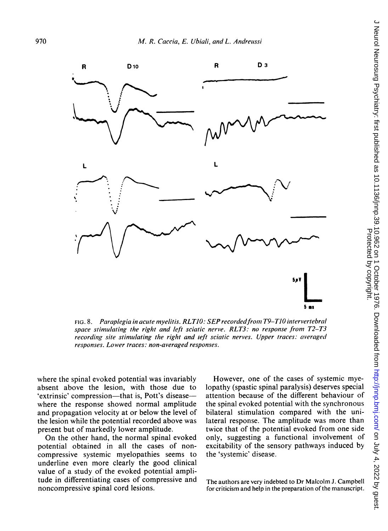

FIG. 8. Paraplegia in acute myelitis. RLT10: SEP recorded from T9-T10 intervertebral space stimulating the right and left sciatic nerve. RLT3: no response from T2-T3 recording site stimulating the right and left sciatic nerves. Upper traces: averaged responses. Lower traces: non-averaged responses.

where the spinal evoked potential was invariably absent above the lesion, with those due to 'extrinsic' compression—that is, Pott's disease where the response showed normal amplitude and propagation velocity at or below the level of the lesion while the potential recorded above was present but of markedly lower amplitude.

On the other hand, the normal spinal evoked potential obtained in all the cases of noncompressive systemic myelopathies seems to underline even more clearly the good clinical value of a study of the evoked potential amplitude in differentiating cases of compressive and noncompressive spinal cord lesions.

However, one of the cases of systemic myeattention because of the different behaviour of the spinal evoked potential with the synchronous bilateral stimulation compared with the unilateral response. The amplitude was more than twice that of the potential evoked from one side only, suggesting a functional involvement of excitability of the sensory pathways induced by the 'systemic' disease.

The authors are very indebted to Dr Malcolm J. Campbell for criticism and help in the preparation of the manuscript.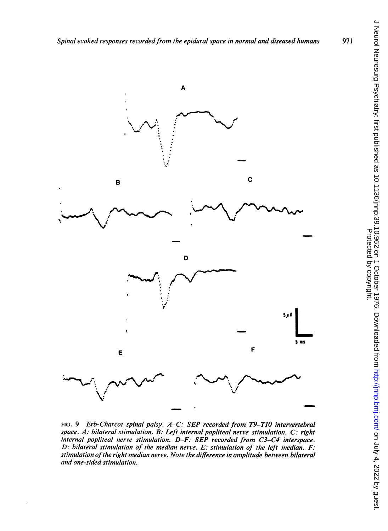

FIG. 9 Erb-Charcot spinal palsy. A-C: SEP recorded from T9-TIO intervertebral space. A: bilateral stimulation. B: Left internal popliteal nerve stimulation. C: right internal popliteal nerve stimulation. D-F: SEP recorded from C3-C4 interspace. D: bilateral stimulation of the median nerve. E: stimulation of the left median. F: stimulation of the right median nerve. Note the difference in amplitude between bilateral and one-sided stimulation.